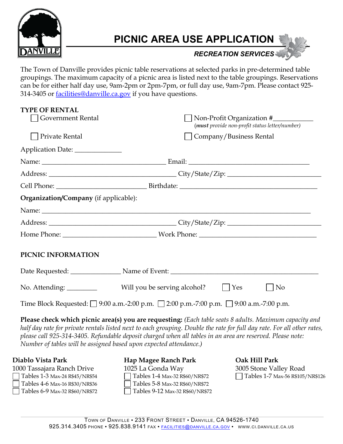

# **PICNIC AREA USE APPLICATION**

*RECREATION SERVICES*

The Town of Danville provides picnic table reservations at selected parks in pre-determined table groupings. The maximum capacity of a picnic area is listed next to the table groupings. Reservations can be for either half day use, 9am-2pm or 2pm-7pm, or full day use, 9am-7pm. Please contact 925- 314-3405 or facilities@danville.ca.gov if you have questions.

| <b>TYPE OF RENTAL</b>                                                                                  |                                                    |  |
|--------------------------------------------------------------------------------------------------------|----------------------------------------------------|--|
| Government Rental                                                                                      | Non-Profit Organization #                          |  |
|                                                                                                        | (must provide non-profit status letter/number)     |  |
| Private Rental                                                                                         | Company/Business Rental                            |  |
| Application Date: ______________                                                                       |                                                    |  |
|                                                                                                        |                                                    |  |
|                                                                                                        |                                                    |  |
|                                                                                                        |                                                    |  |
| <b>Organization/Company</b> (if applicable):                                                           |                                                    |  |
| Name:                                                                                                  |                                                    |  |
|                                                                                                        |                                                    |  |
|                                                                                                        |                                                    |  |
| PICNIC INFORMATION                                                                                     |                                                    |  |
|                                                                                                        | Date Requested: Name of Event: Name of Event:      |  |
| No. Attending: __________                                                                              | Will you be serving alcohol?<br>$  \  $ Yes<br> No |  |
| Time Block Requested: $\Box$ 9:00 a.m.-2:00 p.m. $\Box$ 2:00 p.m.-7:00 p.m. $\Box$ 9:00 a.m.-7:00 p.m. |                                                    |  |

**Please check which picnic area(s) you are requesting:** *(Each table seats 8 adults. Maximum capacity and half day rate for private rentals listed next to each grouping. Double the rate for full day rate. For all other rates, please call 925-314-3405. Refundable deposit charged when all tables in an area are reserved. Please note: Number of tables will be assigned based upon expected attendance.)*

#### **Diablo Vista Park**

1000 Tassajara Ranch Drive Tables 1-3 Max-24 R\$45/NR\$54 Tables 4-6 Max-16 R\$30/NR\$36 Tables 6-9 Max-32 R\$60/NR\$72 **Hap Magee Ranch Park**  1025 La Gonda Way Tables 1-4 Max-32 R\$60/NR\$72 Tables 5-8 Max-32 R\$60/NR\$72 Tables 9-12 Max-32 R\$60/NR\$72 **Oak Hill Park**  3005 Stone Valley Road Tables 1-7 Max-56 R\$105/NR\$126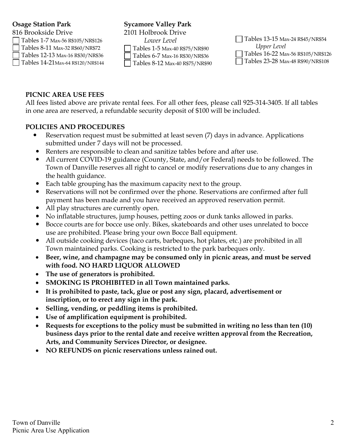# **Osage Station Park**

816 Brookside Drive Tables 1-7 Max-56 R\$105/NR\$126 Tables 8-11 Max-32 R\$60/NR\$72 Tables 12-13 Max-16 R\$30/NR\$36 Tables 14-21Max-64 R\$120/NR\$144

# **Sycamore Valley Park**

2101 Holbrook Drive *Lower Level*

Tables 1-5 Max-40 R\$75/NR\$90

Tables 6-7 Max-16 R\$30/NR\$36

Tables 8-12 Max-40 R\$75/NR\$90

| $\Box$ Tables 13-15 Max-24 R\$45/NR\$54  |  |  |
|------------------------------------------|--|--|
| Upper Level                              |  |  |
| Tables 16-22 Max-56 R\$105/NR\$126       |  |  |
| $\Box$ Tables 23-28 Max-48 R\$90/NR\$108 |  |  |

# **PICNIC AREA USE FEES**

All fees listed above are private rental fees. For all other fees, please call 925-314-3405. If all tables in one area are reserved, a refundable security deposit of \$100 will be included.

### **POLICIES AND PROCEDURES**

- Reservation request must be submitted at least seven (7) days in advance. Applications submitted under 7 days will not be processed.
- Renters are responsible to clean and sanitize tables before and after use.
- All current COVID-19 guidance (County, State, and/or Federal) needs to be followed. The Town of Danville reserves all right to cancel or modify reservations due to any changes in the health guidance.
- Each table grouping has the maximum capacity next to the group.
- Reservations will not be confirmed over the phone. Reservations are confirmed after full payment has been made and you have received an approved reservation permit.
- All play structures are currently open.
- No inflatable structures, jump houses, petting zoos or dunk tanks allowed in parks.
- Bocce courts are for bocce use only. Bikes, skateboards and other uses unrelated to bocce use are prohibited. Please bring your own Bocce Ball equipment.
- All outside cooking devices (taco carts, barbeques, hot plates, etc.) are prohibited in all Town maintained parks. Cooking is restricted to the park barbeques only.
- **Beer, wine, and champagne may be consumed only in picnic areas, and must be served with food. NO HARD LIQUOR ALLOWED**
- **The use of generators is prohibited.**
- **SMOKING IS PROHIBITED in all Town maintained parks.**
- **It is prohibited to paste, tack, glue or post any sign, placard, advertisement or inscription, or to erect any sign in the park.**
- **Selling, vending, or peddling items is prohibited.**
- **Use of amplification equipment is prohibited.**
- **Requests for exceptions to the policy must be submitted in writing no less than ten (10) business days prior to the rental date and receive written approval from the Recreation, Arts, and Community Services Director, or designee.**
- **NO REFUNDS on picnic reservations unless rained out.**